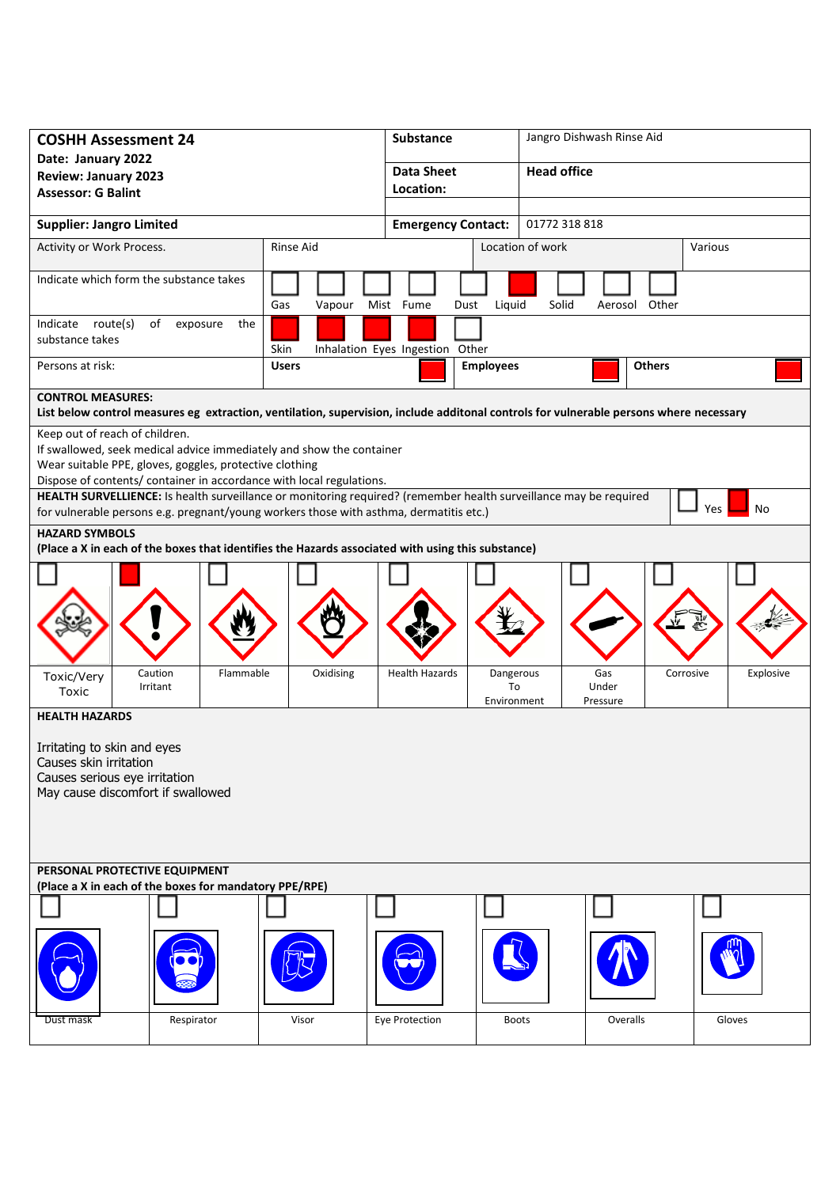| <b>COSHH Assessment 24</b>                                                                                                                                                                                  |                  | <b>Substance</b>                                        | Jangro Dishwash Rinse Aid |                        |  |
|-------------------------------------------------------------------------------------------------------------------------------------------------------------------------------------------------------------|------------------|---------------------------------------------------------|---------------------------|------------------------|--|
| Date: January 2022                                                                                                                                                                                          |                  | <b>Data Sheet</b>                                       | <b>Head office</b>        |                        |  |
| <b>Review: January 2023</b><br><b>Assessor: G Balint</b>                                                                                                                                                    |                  | Location:                                               |                           |                        |  |
|                                                                                                                                                                                                             |                  |                                                         |                           |                        |  |
| <b>Supplier: Jangro Limited</b>                                                                                                                                                                             |                  | <b>Emergency Contact:</b>                               | 01772 318 818             |                        |  |
| Activity or Work Process.                                                                                                                                                                                   | <b>Rinse Aid</b> |                                                         | Location of work          | Various                |  |
| Indicate which form the substance takes                                                                                                                                                                     | Gas<br>Vapour    | Mist Fume<br>Liquid<br>Dust                             | Solid<br>Aerosol Other    |                        |  |
| Indicate route(s)<br>of<br>exposure<br>the<br>substance takes                                                                                                                                               | Skin             | Inhalation Eyes Ingestion Other                         |                           |                        |  |
| Persons at risk:                                                                                                                                                                                            | <b>Users</b>     | <b>Employees</b>                                        | <b>Others</b>             |                        |  |
| <b>CONTROL MEASURES:</b>                                                                                                                                                                                    |                  |                                                         |                           |                        |  |
| List below control measures eg extraction, ventilation, supervision, include additonal controls for vulnerable persons where necessary                                                                      |                  |                                                         |                           |                        |  |
| Keep out of reach of children.<br>If swallowed, seek medical advice immediately and show the container                                                                                                      |                  |                                                         |                           |                        |  |
| Wear suitable PPE, gloves, goggles, protective clothing                                                                                                                                                     |                  |                                                         |                           |                        |  |
| Dispose of contents/ container in accordance with local regulations.                                                                                                                                        |                  |                                                         |                           |                        |  |
| HEALTH SURVELLIENCE: Is health surveillance or monitoring required? (remember health surveillance may be required<br>for vulnerable persons e.g. pregnant/young workers those with asthma, dermatitis etc.) |                  |                                                         |                           | Yes<br>No              |  |
| <b>HAZARD SYMBOLS</b>                                                                                                                                                                                       |                  |                                                         |                           |                        |  |
| (Place a X in each of the boxes that identifies the Hazards associated with using this substance)                                                                                                           |                  |                                                         |                           |                        |  |
|                                                                                                                                                                                                             |                  |                                                         |                           |                        |  |
| Caution<br>Flammable<br>Toxic/Very<br>Irritant<br>Toxic                                                                                                                                                     | Oxidising        | <b>Health Hazards</b><br>Dangerous<br>To<br>Environment | Gas<br>Under<br>Pressure  | Corrosive<br>Explosive |  |
| <b>HEALTH HAZARDS</b>                                                                                                                                                                                       |                  |                                                         |                           |                        |  |
| Irritating to skin and eyes<br>Causes skin irritation<br>Causes serious eye irritation<br>May cause discomfort if swallowed                                                                                 |                  |                                                         |                           |                        |  |
| PERSONAL PROTECTIVE EQUIPMENT                                                                                                                                                                               |                  |                                                         |                           |                        |  |
| (Place a X in each of the boxes for mandatory PPE/RPE)                                                                                                                                                      |                  |                                                         |                           |                        |  |
| Dust mask<br>Respirator                                                                                                                                                                                     | Visor            | Eye Protection<br><b>Boots</b>                          | Overalls                  | Gloves                 |  |
|                                                                                                                                                                                                             |                  |                                                         |                           |                        |  |